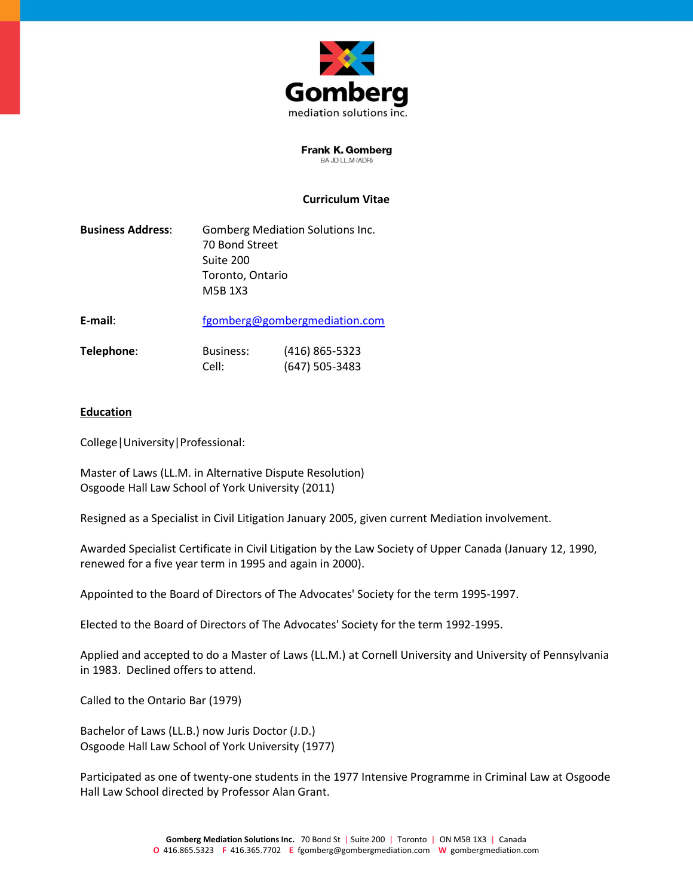

**Frank K. Gomberg** BA JD LL.M (ADR)

### **Curriculum Vitae**

| <b>Business Address:</b> | <b>Gomberg Mediation Solutions Inc.</b> |
|--------------------------|-----------------------------------------|
|                          | 70 Bond Street                          |
|                          | Suite 200                               |
|                          | Toronto, Ontario                        |
|                          | M5B 1X3                                 |
|                          |                                         |

**E-mail**: [fgomberg@gombergmediation.com](mailto:fgomberg@gombergmediation.com)

| Telephone: | Business: | (416) 865-5323   |
|------------|-----------|------------------|
|            | Cell:     | $(647)$ 505-3483 |

#### **Education**

College|University|Professional:

Master of Laws (LL.M. in Alternative Dispute Resolution) Osgoode Hall Law School of York University (2011)

Resigned as a Specialist in Civil Litigation January 2005, given current Mediation involvement.

Awarded Specialist Certificate in Civil Litigation by the Law Society of Upper Canada (January 12, 1990, renewed for a five year term in 1995 and again in 2000).

Appointed to the Board of Directors of The Advocates' Society for the term 1995-1997.

Elected to the Board of Directors of The Advocates' Society for the term 1992-1995.

Applied and accepted to do a Master of Laws (LL.M.) at Cornell University and University of Pennsylvania in 1983. Declined offers to attend.

Called to the Ontario Bar (1979)

Bachelor of Laws (LL.B.) now Juris Doctor (J.D.) Osgoode Hall Law School of York University (1977)

Participated as one of twenty-one students in the 1977 Intensive Programme in Criminal Law at Osgoode Hall Law School directed by Professor Alan Grant.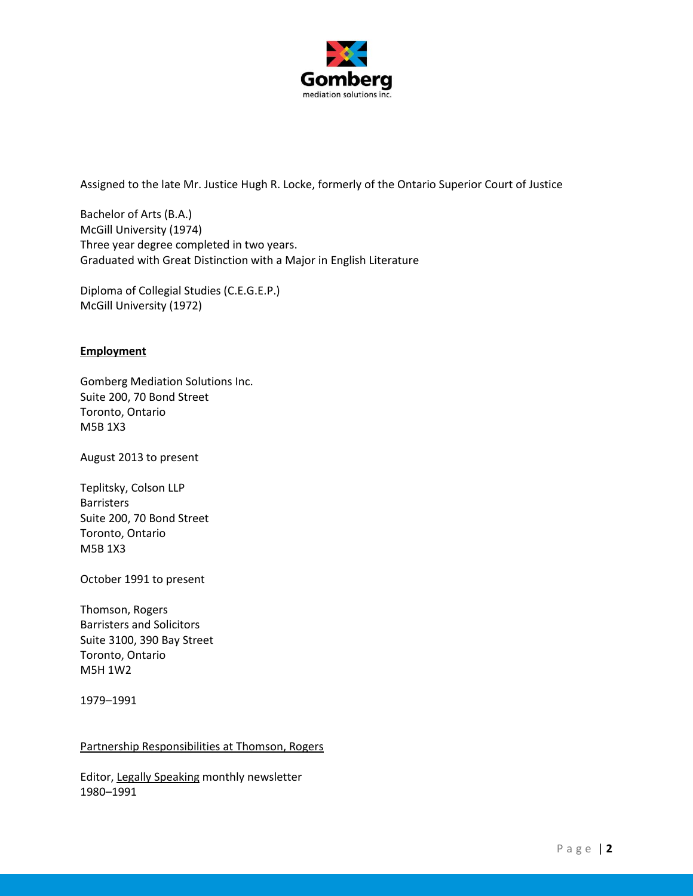

Assigned to the late Mr. Justice Hugh R. Locke, formerly of the Ontario Superior Court of Justice

Bachelor of Arts (B.A.) McGill University (1974) Three year degree completed in two years. Graduated with Great Distinction with a Major in English Literature

Diploma of Collegial Studies (C.E.G.E.P.) McGill University (1972)

# **Employment**

Gomberg Mediation Solutions Inc. Suite 200, 70 Bond Street Toronto, Ontario M5B 1X3

August 2013 to present

Teplitsky, Colson LLP Barristers Suite 200, 70 Bond Street Toronto, Ontario M5B 1X3

October 1991 to present

Thomson, Rogers Barristers and Solicitors Suite 3100, 390 Bay Street Toronto, Ontario M5H 1W2

1979–1991

#### Partnership Responsibilities at Thomson, Rogers

Editor, Legally Speaking monthly newsletter 1980–1991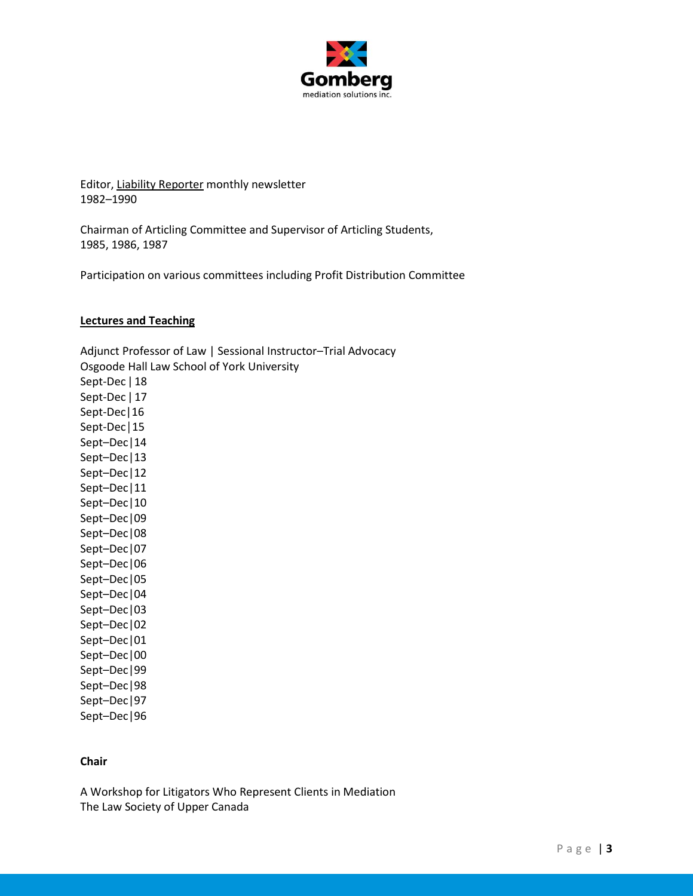

Editor, Liability Reporter monthly newsletter 1982–1990

Chairman of Articling Committee and Supervisor of Articling Students, 1985, 1986, 1987

Participation on various committees including Profit Distribution Committee

#### **Lectures and Teaching**

Adjunct Professor of Law | Sessional Instructor–Trial Advocacy Osgoode Hall Law School of York University Sept-Dec | 18 Sept-Dec | 17 Sept-Dec|16 Sept-Dec│15 Sept–Dec|14 Sept–Dec|13 Sept–Dec|12 Sept–Dec|11 Sept–Dec|10 Sept–Dec|09 Sept–Dec|08 Sept–Dec|07 Sept–Dec|06 Sept–Dec|05 Sept–Dec|04 Sept–Dec|03 Sept–Dec|02 Sept–Dec|01 Sept–Dec|00 Sept–Dec|99 Sept–Dec|98 Sept–Dec|97 Sept–Dec|96

### **Chair**

A Workshop for Litigators Who Represent Clients in Mediation The Law Society of Upper Canada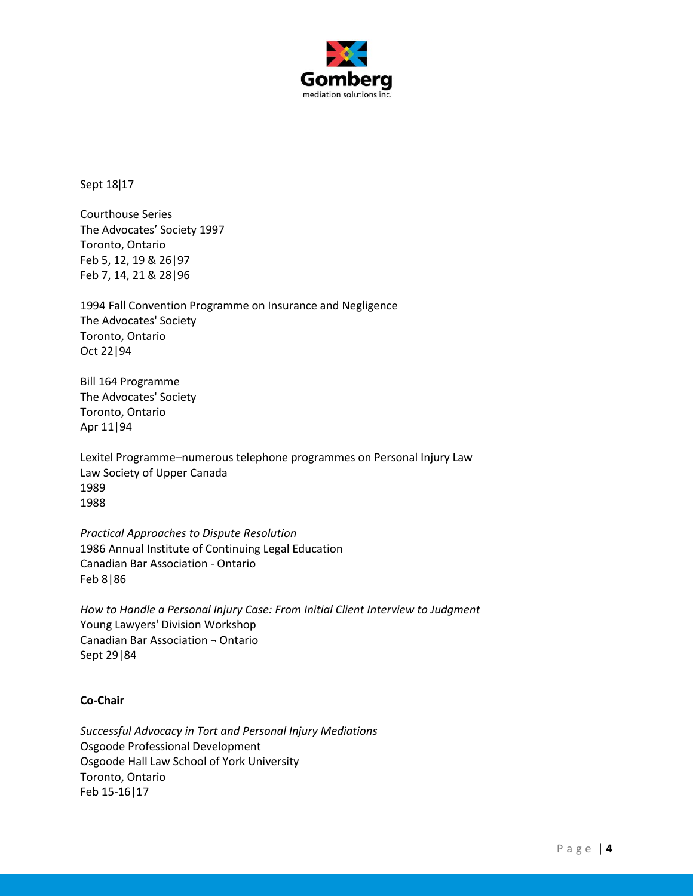

Sept 18ǀ17

Courthouse Series The Advocates' Society 1997 Toronto, Ontario Feb 5, 12, 19 & 26|97 Feb 7, 14, 21 & 28|96

1994 Fall Convention Programme on Insurance and Negligence The Advocates' Society Toronto, Ontario Oct 22|94

Bill 164 Programme The Advocates' Society Toronto, Ontario Apr 11|94

Lexitel Programme–numerous telephone programmes on Personal Injury Law Law Society of Upper Canada 1989 1988

*Practical Approaches to Dispute Resolution* 1986 Annual Institute of Continuing Legal Education Canadian Bar Association - Ontario Feb 8|86

*How to Handle a Personal Injury Case: From Initial Client Interview to Judgment* Young Lawyers' Division Workshop Canadian Bar Association ¬ Ontario Sept 29|84

# **Co-Chair**

*Successful Advocacy in Tort and Personal Injury Mediations* Osgoode Professional Development Osgoode Hall Law School of York University Toronto, Ontario Feb 15-16|17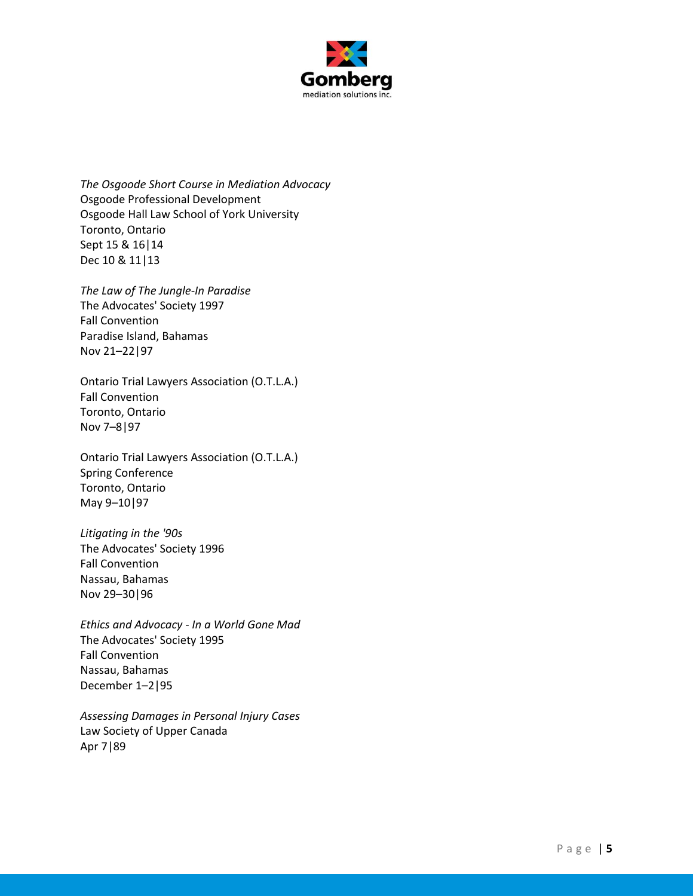

*The Osgoode Short Course in Mediation Advocacy* Osgoode Professional Development Osgoode Hall Law School of York University Toronto, Ontario Sept 15 & 16|14 Dec 10 & 11|13

*The Law of The Jungle-In Paradise* The Advocates' Society 1997 Fall Convention Paradise Island, Bahamas Nov 21–22|97

Ontario Trial Lawyers Association (O.T.L.A.) Fall Convention Toronto, Ontario Nov 7–8|97

Ontario Trial Lawyers Association (O.T.L.A.) Spring Conference Toronto, Ontario May 9–10|97

*Litigating in the '90s* The Advocates' Society 1996 Fall Convention Nassau, Bahamas Nov 29–30|96

*Ethics and Advocacy - In a World Gone Mad* The Advocates' Society 1995 Fall Convention Nassau, Bahamas December 1–2|95

*Assessing Damages in Personal Injury Cases* Law Society of Upper Canada Apr 7|89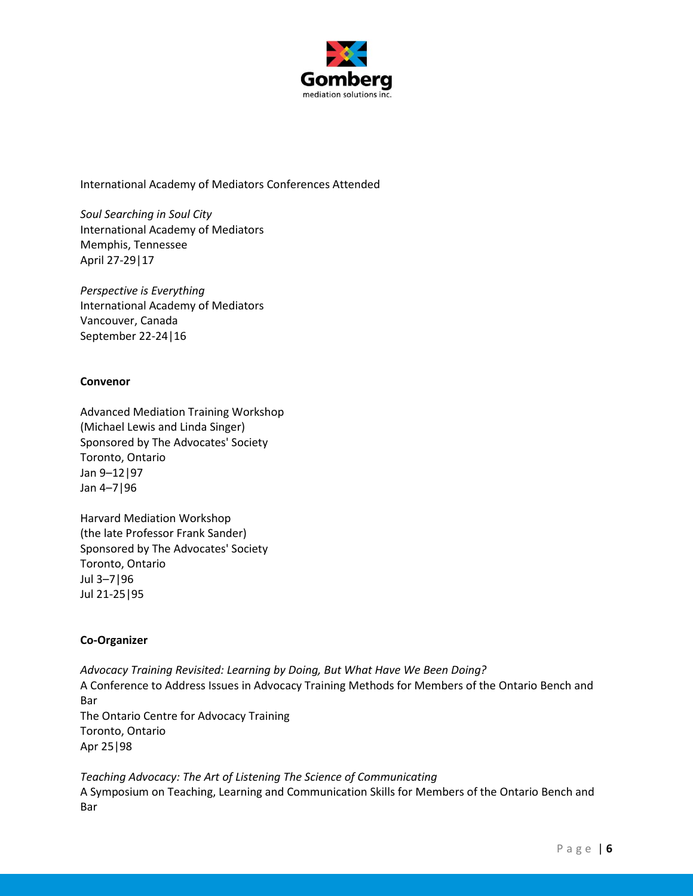

International Academy of Mediators Conferences Attended

*Soul Searching in Soul City* International Academy of Mediators Memphis, Tennessee April 27-29|17

*Perspective is Everything* International Academy of Mediators Vancouver, Canada September 22-24|16

# **Convenor**

Advanced Mediation Training Workshop (Michael Lewis and Linda Singer) Sponsored by The Advocates' Society Toronto, Ontario Jan 9–12|97 Jan 4–7|96

Harvard Mediation Workshop (the late Professor Frank Sander) Sponsored by The Advocates' Society Toronto, Ontario Jul 3–7|96 Jul 21-25|95

# **Co-Organizer**

*Advocacy Training Revisited: Learning by Doing, But What Have We Been Doing?* A Conference to Address Issues in Advocacy Training Methods for Members of the Ontario Bench and Bar The Ontario Centre for Advocacy Training Toronto, Ontario Apr 25|98

*Teaching Advocacy: The Art of Listening The Science of Communicating* A Symposium on Teaching, Learning and Communication Skills for Members of the Ontario Bench and Bar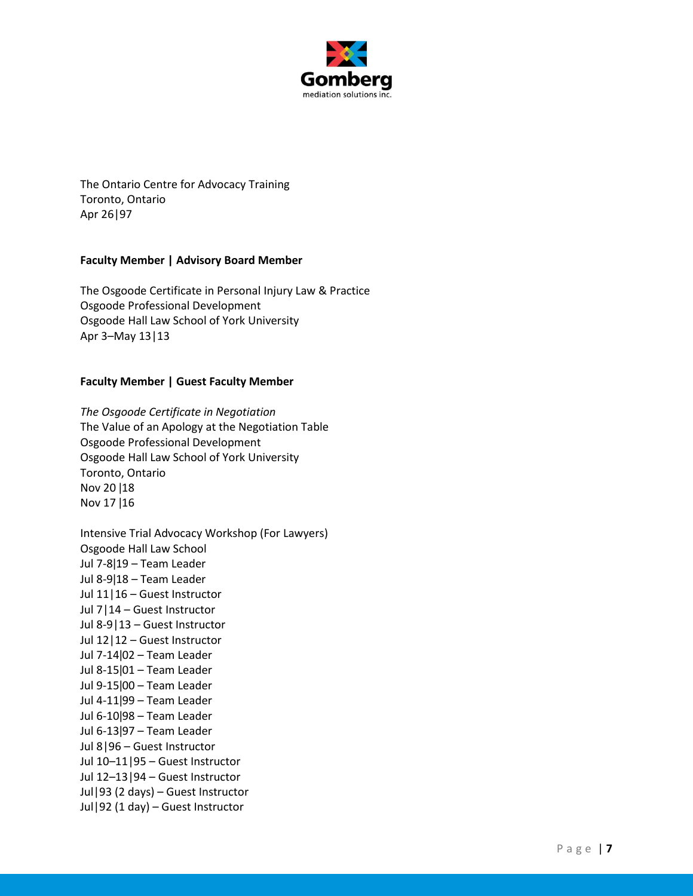

The Ontario Centre for Advocacy Training Toronto, Ontario Apr 26|97

# **Faculty Member | Advisory Board Member**

The Osgoode Certificate in Personal Injury Law & Practice Osgoode Professional Development Osgoode Hall Law School of York University Apr 3–May 13|13

### **Faculty Member | Guest Faculty Member**

*The Osgoode Certificate in Negotiation* The Value of an Apology at the Negotiation Table Osgoode Professional Development Osgoode Hall Law School of York University Toronto, Ontario Nov 20 ǀ18 Nov 17 ǀ16

Intensive Trial Advocacy Workshop (For Lawyers) Osgoode Hall Law School Jul 7-8ǀ19 – Team Leader Jul 8-9ǀ18 – Team Leader Jul 11|16 – Guest Instructor Jul 7|14 – Guest Instructor Jul 8-9|13 – Guest Instructor Jul 12|12 – Guest Instructor Jul 7-14ǀ02 – Team Leader Jul 8-15ǀ01 – Team Leader Jul 9-15ǀ00 – Team Leader Jul 4-11ǀ99 – Team Leader Jul 6-10|98 - Team Leader Jul 6-13ǀ97 – Team Leader Jul 8|96 – Guest Instructor Jul 10–11|95 – Guest Instructor Jul 12–13|94 – Guest Instructor Jul|93 (2 days) – Guest Instructor Jul|92 (1 day) – Guest Instructor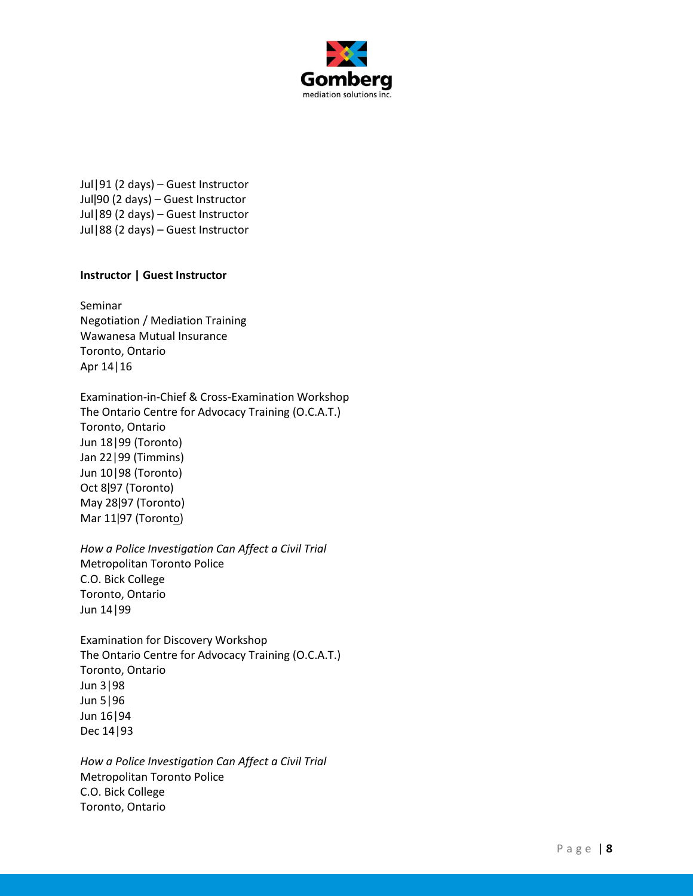

Jul|91 (2 days) – Guest Instructor Julǀ90 (2 days) – Guest Instructor Jul|89 (2 days) – Guest Instructor Jul|88 (2 days) – Guest Instructor

# **Instructor | Guest Instructor**

Seminar Negotiation / Mediation Training Wawanesa Mutual Insurance Toronto, Ontario Apr 14|16

Examination-in-Chief & Cross-Examination Workshop The Ontario Centre for Advocacy Training (O.C.A.T.) Toronto, Ontario Jun 18|99 (Toronto) Jan 22|99 (Timmins) Jun 10|98 (Toronto) Oct 8ǀ97 (Toronto) May 28ǀ97 (Toronto) Mar 11|97 (Toronto)

*How a Police Investigation Can Affect a Civil Trial* Metropolitan Toronto Police C.O. Bick College Toronto, Ontario Jun 14|99

Examination for Discovery Workshop The Ontario Centre for Advocacy Training (O.C.A.T.) Toronto, Ontario Jun 3|98 Jun 5|96 Jun 16|94 Dec 14|93

*How a Police Investigation Can Affect a Civil Trial*  Metropolitan Toronto Police C.O. Bick College Toronto, Ontario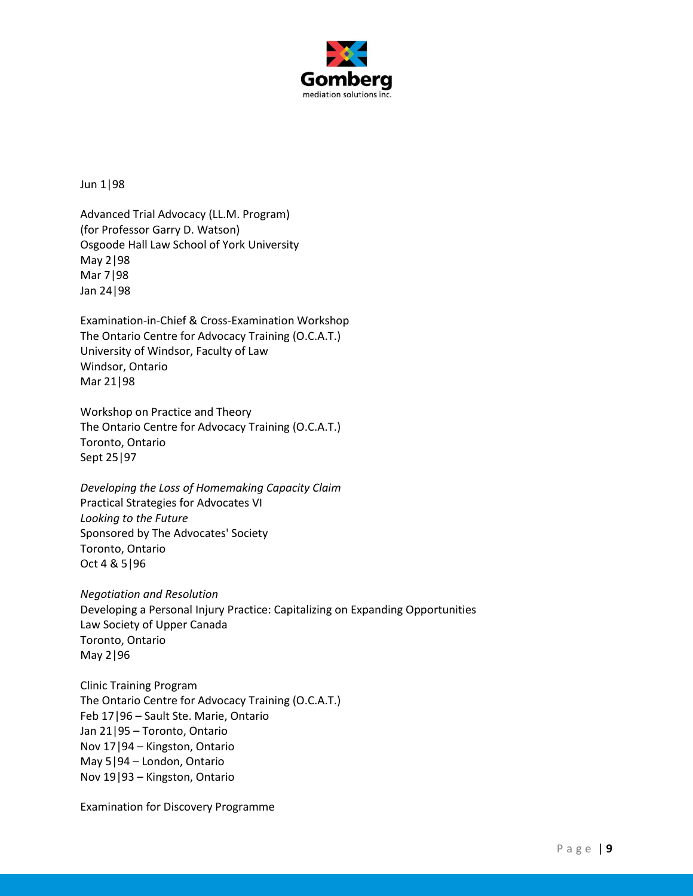

Jun 1|98

Advanced Trial Advocacy (LL.M. Program) (for Professor Garry D. Watson) Osgoode Hall Law School of York University May 2|98 Mar 7|98 Jan 24|98

Examination-in-Chief & Cross-Examination Workshop The Ontario Centre for Advocacy Training (O.C.A.T.) University of Windsor, Faculty of Law Windsor, Ontario Mar 21|98

Workshop on Practice and Theory The Ontario Centre for Advocacy Training (O.C.A.T.) Toronto, Ontario Sept 25|97

*Developing the Loss of Homemaking Capacity Claim* Practical Strategies for Advocates VI *Looking to the Future* Sponsored by The Advocates' Society Toronto, Ontario Oct 4 & 5|96

*Negotiation and Resolution* Developing a Personal Injury Practice: Capitalizing on Expanding Opportunities Law Society of Upper Canada Toronto, Ontario May 2|96

Clinic Training Program The Ontario Centre for Advocacy Training (O.C.A.T.) Feb 17|96 – Sault Ste. Marie, Ontario Jan 21|95 – Toronto, Ontario Nov 17|94 – Kingston, Ontario May 5|94 – London, Ontario Nov 19|93 – Kingston, Ontario

Examination for Discovery Programme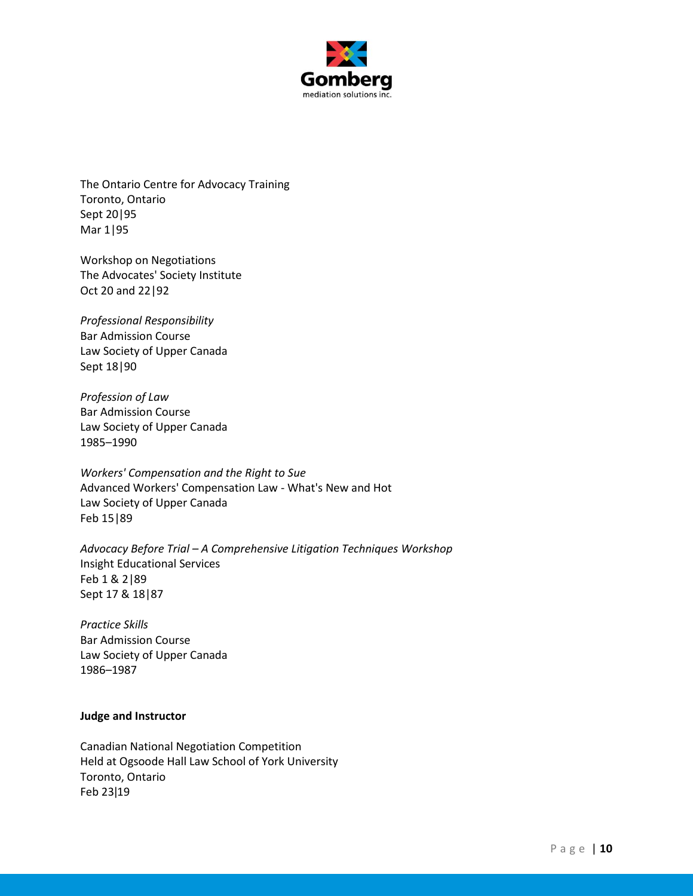

The Ontario Centre for Advocacy Training Toronto, Ontario Sept 20|95 Mar 1|95

Workshop on Negotiations The Advocates' Society Institute Oct 20 and 22|92

*Professional Responsibility* Bar Admission Course Law Society of Upper Canada Sept 18|90

*Profession of Law* Bar Admission Course Law Society of Upper Canada 1985–1990

*Workers' Compensation and the Right to Sue* Advanced Workers' Compensation Law - What's New and Hot Law Society of Upper Canada Feb 15|89

*Advocacy Before Trial – A Comprehensive Litigation Techniques Workshop* Insight Educational Services Feb 1 & 2|89 Sept 17 & 18|87

*Practice Skills* Bar Admission Course Law Society of Upper Canada 1986–1987

### **Judge and Instructor**

Canadian National Negotiation Competition Held at Ogsoode Hall Law School of York University Toronto, Ontario Feb 23ǀ19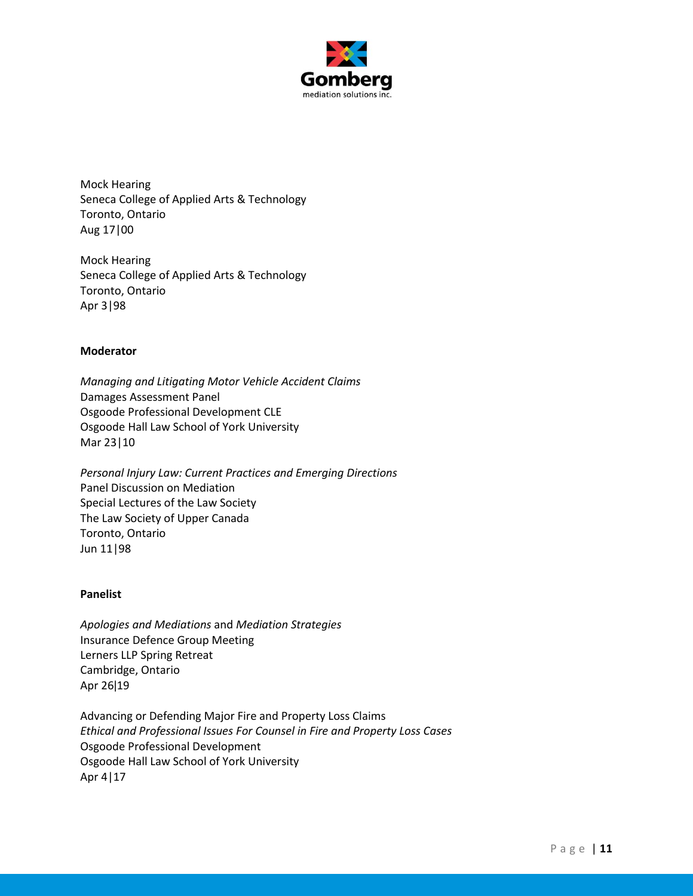

Mock Hearing Seneca College of Applied Arts & Technology Toronto, Ontario Aug 17|00

Mock Hearing Seneca College of Applied Arts & Technology Toronto, Ontario Apr 3|98

### **Moderator**

*Managing and Litigating Motor Vehicle Accident Claims* Damages Assessment Panel Osgoode Professional Development CLE Osgoode Hall Law School of York University Mar 23|10

*Personal Injury Law: Current Practices and Emerging Directions* Panel Discussion on Mediation Special Lectures of the Law Society The Law Society of Upper Canada Toronto, Ontario Jun 11|98

#### **Panelist**

*Apologies and Mediations* and *Mediation Strategies* Insurance Defence Group Meeting Lerners LLP Spring Retreat Cambridge, Ontario Apr 26ǀ19

Advancing or Defending Major Fire and Property Loss Claims *Ethical and Professional Issues For Counsel in Fire and Property Loss Cases* Osgoode Professional Development Osgoode Hall Law School of York University Apr 4|17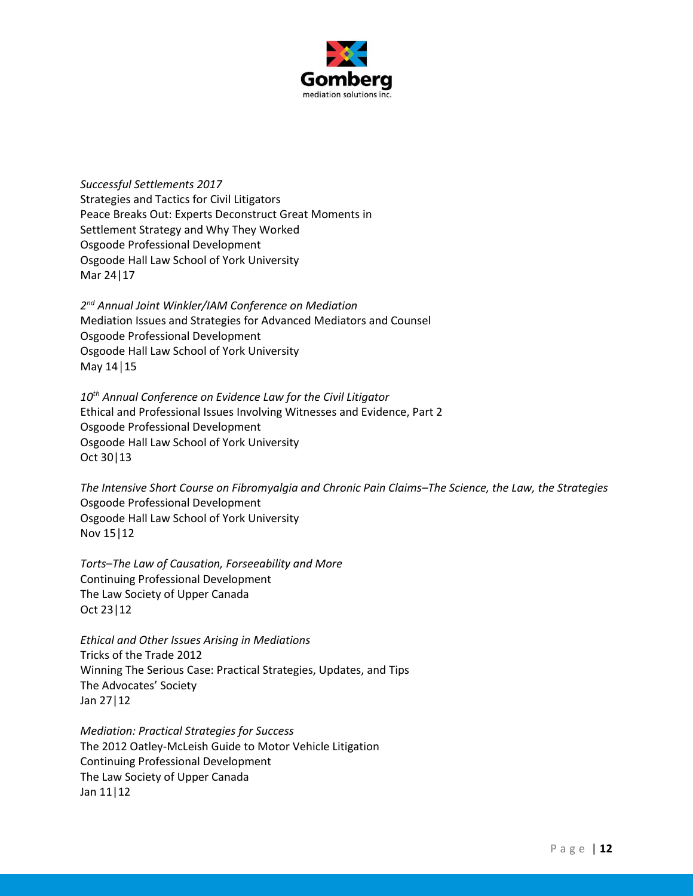

*Successful Settlements 2017* Strategies and Tactics for Civil Litigators Peace Breaks Out: Experts Deconstruct Great Moments in Settlement Strategy and Why They Worked Osgoode Professional Development Osgoode Hall Law School of York University Mar 24|17

*2 nd Annual Joint Winkler/IAM Conference on Mediation* Mediation Issues and Strategies for Advanced Mediators and Counsel Osgoode Professional Development Osgoode Hall Law School of York University May 14│15

*10th Annual Conference on Evidence Law for the Civil Litigator* Ethical and Professional Issues Involving Witnesses and Evidence, Part 2 Osgoode Professional Development Osgoode Hall Law School of York University Oct 30|13

*The Intensive Short Course on Fibromyalgia and Chronic Pain Claims–The Science, the Law, the Strategies* Osgoode Professional Development Osgoode Hall Law School of York University Nov 15|12

*Torts–The Law of Causation, Forseeability and More* Continuing Professional Development The Law Society of Upper Canada Oct 23|12

*Ethical and Other Issues Arising in Mediations* Tricks of the Trade 2012 Winning The Serious Case: Practical Strategies, Updates, and Tips The Advocates' Society Jan 27|12

*Mediation: Practical Strategies for Success* The 2012 Oatley-McLeish Guide to Motor Vehicle Litigation Continuing Professional Development The Law Society of Upper Canada Jan 11|12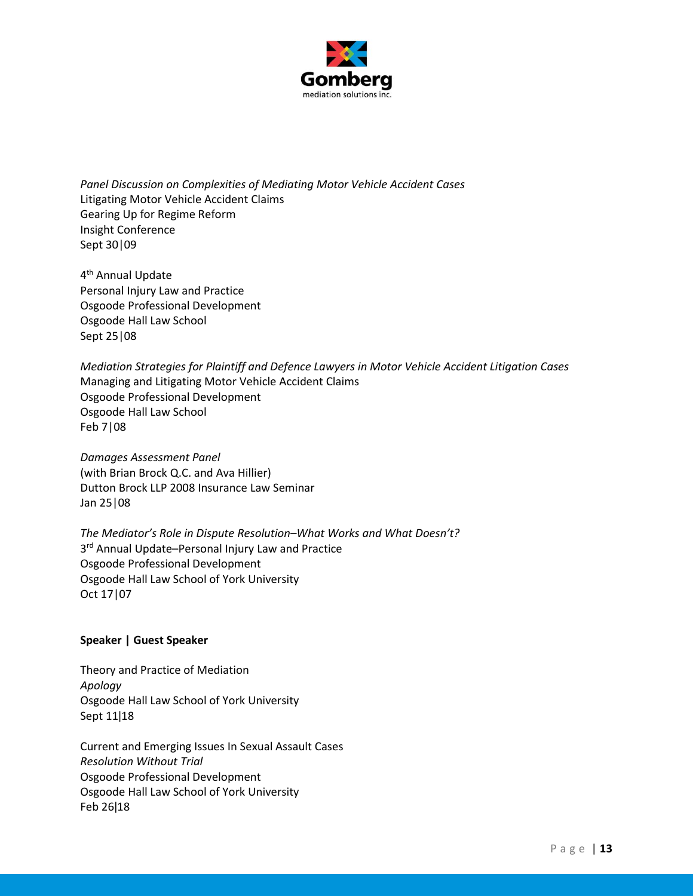

*Panel Discussion on Complexities of Mediating Motor Vehicle Accident Cases* Litigating Motor Vehicle Accident Claims Gearing Up for Regime Reform Insight Conference Sept 30|09

4<sup>th</sup> Annual Update Personal Injury Law and Practice Osgoode Professional Development Osgoode Hall Law School Sept 25|08

*Mediation Strategies for Plaintiff and Defence Lawyers in Motor Vehicle Accident Litigation Cases* Managing and Litigating Motor Vehicle Accident Claims Osgoode Professional Development Osgoode Hall Law School Feb 7|08

*Damages Assessment Panel* (with Brian Brock Q.C. and Ava Hillier) Dutton Brock LLP 2008 Insurance Law Seminar Jan 25|08

*The Mediator's Role in Dispute Resolution–What Works and What Doesn't?* 3<sup>rd</sup> Annual Update–Personal Injury Law and Practice Osgoode Professional Development Osgoode Hall Law School of York University Oct 17|07

# **Speaker | Guest Speaker**

Theory and Practice of Mediation *Apology* Osgoode Hall Law School of York University Sept 11|18

Current and Emerging Issues In Sexual Assault Cases *Resolution Without Trial* Osgoode Professional Development Osgoode Hall Law School of York University Feb 26ǀ18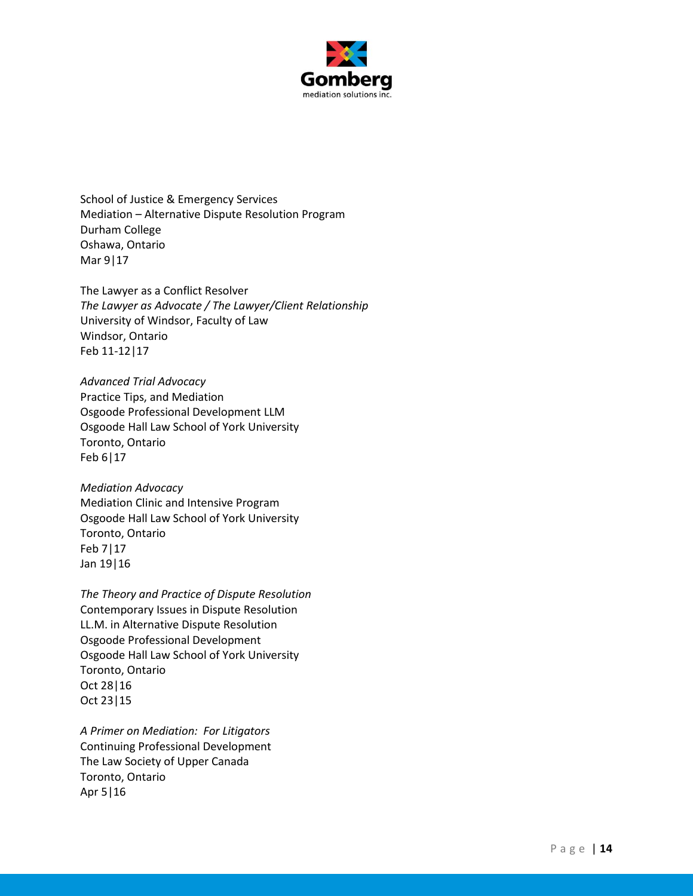

School of Justice & Emergency Services Mediation – Alternative Dispute Resolution Program Durham College Oshawa, Ontario Mar 9|17

The Lawyer as a Conflict Resolver *The Lawyer as Advocate / The Lawyer/Client Relationship* University of Windsor, Faculty of Law Windsor, Ontario Feb 11-12|17

*Advanced Trial Advocacy* Practice Tips, and Mediation Osgoode Professional Development LLM Osgoode Hall Law School of York University Toronto, Ontario Feb 6|17

*Mediation Advocacy* Mediation Clinic and Intensive Program Osgoode Hall Law School of York University Toronto, Ontario Feb 7|17 Jan 19|16

*The Theory and Practice of Dispute Resolution* Contemporary Issues in Dispute Resolution LL.M. in Alternative Dispute Resolution Osgoode Professional Development Osgoode Hall Law School of York University Toronto, Ontario Oct 28|16 Oct 23|15

*A Primer on Mediation: For Litigators* Continuing Professional Development The Law Society of Upper Canada Toronto, Ontario Apr 5|16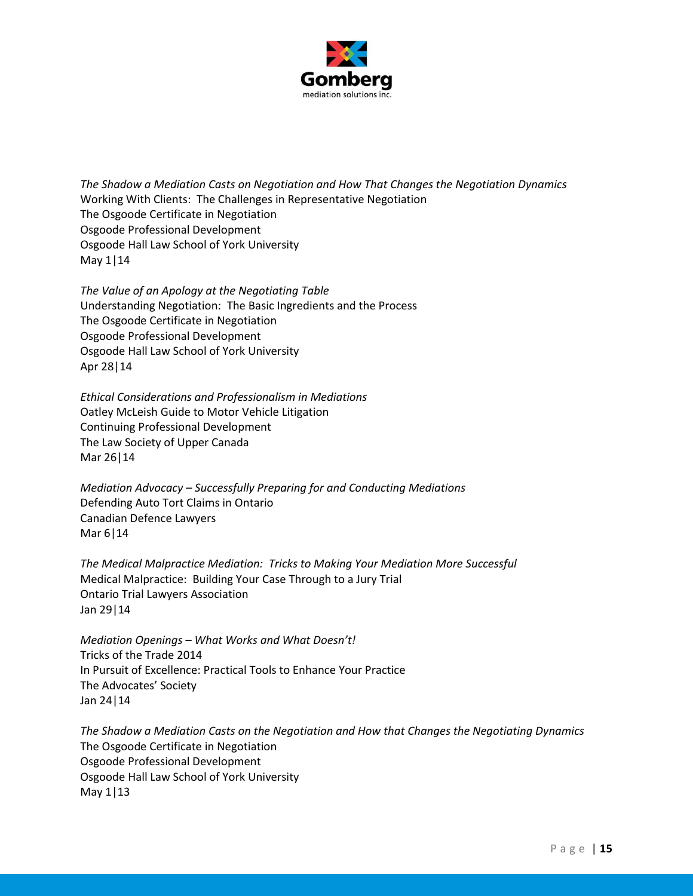

*The Shadow a Mediation Casts on Negotiation and How That Changes the Negotiation Dynamics* Working With Clients: The Challenges in Representative Negotiation The Osgoode Certificate in Negotiation Osgoode Professional Development Osgoode Hall Law School of York University May 1|14

*The Value of an Apology at the Negotiating Table* Understanding Negotiation: The Basic Ingredients and the Process The Osgoode Certificate in Negotiation Osgoode Professional Development Osgoode Hall Law School of York University Apr 28|14

*Ethical Considerations and Professionalism in Mediations* Oatley McLeish Guide to Motor Vehicle Litigation Continuing Professional Development The Law Society of Upper Canada Mar 26|14

*Mediation Advocacy – Successfully Preparing for and Conducting Mediations* Defending Auto Tort Claims in Ontario Canadian Defence Lawyers Mar 6|14

*The Medical Malpractice Mediation: Tricks to Making Your Mediation More Successful* Medical Malpractice: Building Your Case Through to a Jury Trial Ontario Trial Lawyers Association Jan 29|14

*Mediation Openings – What Works and What Doesn't!* Tricks of the Trade 2014 In Pursuit of Excellence: Practical Tools to Enhance Your Practice The Advocates' Society Jan 24|14

*The Shadow a Mediation Casts on the Negotiation and How that Changes the Negotiating Dynamics* The Osgoode Certificate in Negotiation Osgoode Professional Development Osgoode Hall Law School of York University May 1|13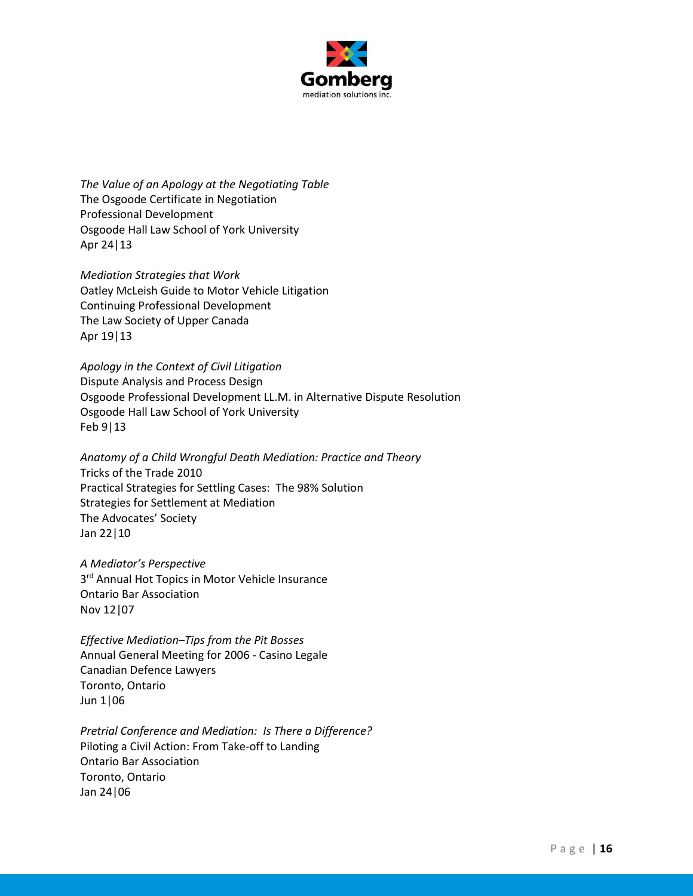

*The Value of an Apology at the Negotiating Table* The Osgoode Certificate in Negotiation Professional Development Osgoode Hall Law School of York University Apr 24|13

*Mediation Strategies that Work* Oatley McLeish Guide to Motor Vehicle Litigation Continuing Professional Development The Law Society of Upper Canada Apr 19|13

*Apology in the Context of Civil Litigation* Dispute Analysis and Process Design Osgoode Professional Development LL.M. in Alternative Dispute Resolution Osgoode Hall Law School of York University Feb 9|13

*Anatomy of a Child Wrongful Death Mediation: Practice and Theory* Tricks of the Trade 2010 Practical Strategies for Settling Cases: The 98% Solution Strategies for Settlement at Mediation The Advocates' Society Jan 22|10

*A Mediator's Perspective* 3<sup>rd</sup> Annual Hot Topics in Motor Vehicle Insurance Ontario Bar Association Nov 12|07

*Effective Mediation–Tips from the Pit Bosses* Annual General Meeting for 2006 - Casino Legale Canadian Defence Lawyers Toronto, Ontario Jun 1|06

*Pretrial Conference and Mediation: Is There a Difference?* Piloting a Civil Action: From Take-off to Landing Ontario Bar Association Toronto, Ontario Jan 24|06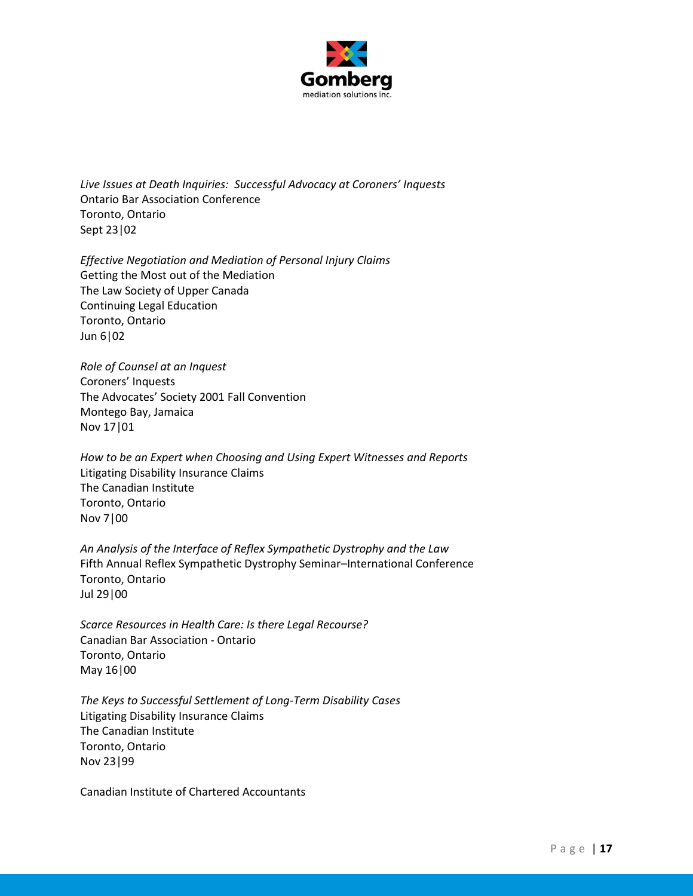

*Live Issues at Death Inquiries: Successful Advocacy at Coroners' Inquests* Ontario Bar Association Conference Toronto, Ontario Sept 23|02

*Effective Negotiation and Mediation of Personal Injury Claims* Getting the Most out of the Mediation The Law Society of Upper Canada Continuing Legal Education Toronto, Ontario Jun 6|02

*Role of Counsel at an Inquest* Coroners' Inquests The Advocates' Society 2001 Fall Convention Montego Bay, Jamaica Nov 17|01

*How to be an Expert when Choosing and Using Expert Witnesses and Reports* Litigating Disability Insurance Claims The Canadian Institute Toronto, Ontario Nov 7|00

*An Analysis of the Interface of Reflex Sympathetic Dystrophy and the Law* Fifth Annual Reflex Sympathetic Dystrophy Seminar–International Conference Toronto, Ontario Jul 29|00

*Scarce Resources in Health Care: Is there Legal Recourse?* Canadian Bar Association - Ontario Toronto, Ontario May 16|00

*The Keys to Successful Settlement of Long-Term Disability Cases* Litigating Disability Insurance Claims The Canadian Institute Toronto, Ontario Nov 23|99

Canadian Institute of Chartered Accountants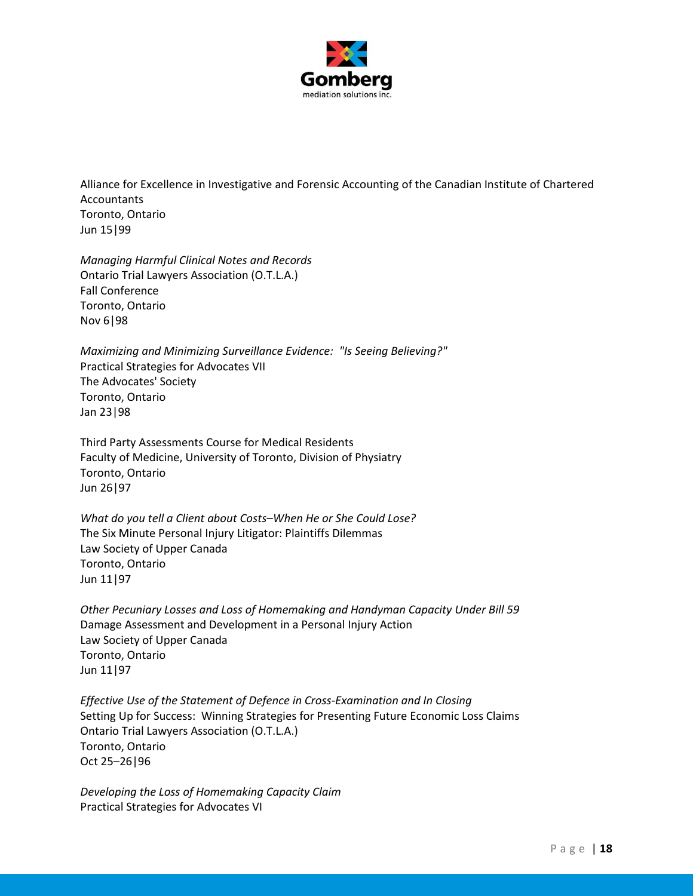

Alliance for Excellence in Investigative and Forensic Accounting of the Canadian Institute of Chartered Accountants Toronto, Ontario Jun 15|99

*Managing Harmful Clinical Notes and Records* Ontario Trial Lawyers Association (O.T.L.A.) Fall Conference Toronto, Ontario Nov 6|98

*Maximizing and Minimizing Surveillance Evidence: "Is Seeing Believing?"* Practical Strategies for Advocates VII The Advocates' Society Toronto, Ontario Jan 23|98

Third Party Assessments Course for Medical Residents Faculty of Medicine, University of Toronto, Division of Physiatry Toronto, Ontario Jun 26|97

*What do you tell a Client about Costs–When He or She Could Lose?* The Six Minute Personal Injury Litigator: Plaintiffs Dilemmas Law Society of Upper Canada Toronto, Ontario Jun 11|97

*Other Pecuniary Losses and Loss of Homemaking and Handyman Capacity Under Bill 59* Damage Assessment and Development in a Personal Injury Action Law Society of Upper Canada Toronto, Ontario Jun 11|97

*Effective Use of the Statement of Defence in Cross-Examination and In Closing* Setting Up for Success: Winning Strategies for Presenting Future Economic Loss Claims Ontario Trial Lawyers Association (O.T.L.A.) Toronto, Ontario Oct 25–26|96

*Developing the Loss of Homemaking Capacity Claim* Practical Strategies for Advocates VI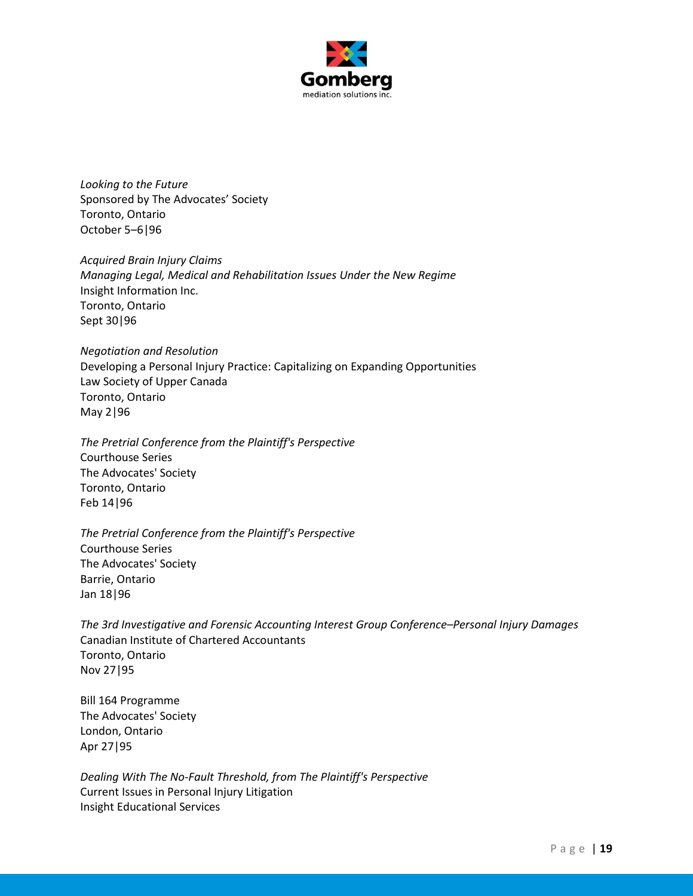

*Looking to the Future* Sponsored by The Advocates' Society Toronto, Ontario October 5–6|96

*Acquired Brain Injury Claims Managing Legal, Medical and Rehabilitation Issues Under the New Regime* Insight Information Inc. Toronto, Ontario Sept 30|96

*Negotiation and Resolution* Developing a Personal Injury Practice: Capitalizing on Expanding Opportunities Law Society of Upper Canada Toronto, Ontario May 2|96

*The Pretrial Conference from the Plaintiff's Perspective* Courthouse Series The Advocates' Society Toronto, Ontario Feb 14|96

*The Pretrial Conference from the Plaintiff's Perspective* Courthouse Series The Advocates' Society Barrie, Ontario Jan 18|96

*The 3rd Investigative and Forensic Accounting Interest Group Conference–Personal Injury Damages* Canadian Institute of Chartered Accountants Toronto, Ontario Nov 27|95

Bill 164 Programme The Advocates' Society London, Ontario Apr 27|95

*Dealing With The No-Fault Threshold, from The Plaintiff's Perspective* Current Issues in Personal Injury Litigation Insight Educational Services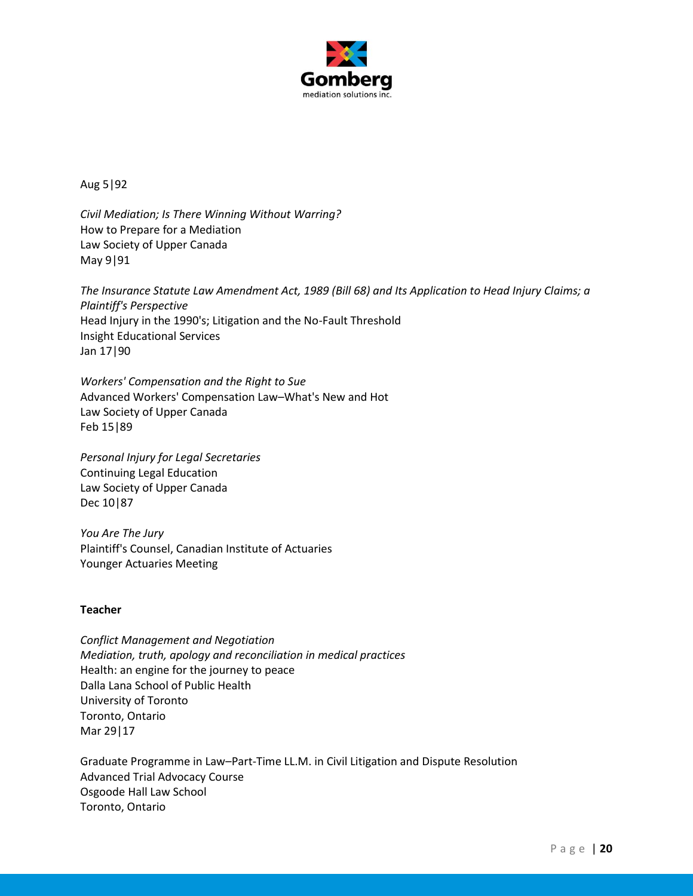

Aug 5|92

*Civil Mediation; Is There Winning Without Warring?* How to Prepare for a Mediation Law Society of Upper Canada May 9|91

*The Insurance Statute Law Amendment Act, 1989 (Bill 68) and Its Application to Head Injury Claims; a Plaintiff's Perspective* Head Injury in the 1990's; Litigation and the No-Fault Threshold Insight Educational Services Jan 17|90

*Workers' Compensation and the Right to Sue* Advanced Workers' Compensation Law–What's New and Hot Law Society of Upper Canada Feb 15|89

*Personal Injury for Legal Secretaries* Continuing Legal Education Law Society of Upper Canada Dec 10|87

*You Are The Jury* Plaintiff's Counsel, Canadian Institute of Actuaries Younger Actuaries Meeting

# **Teacher**

*Conflict Management and Negotiation Mediation, truth, apology and reconciliation in medical practices* Health: an engine for the journey to peace Dalla Lana School of Public Health University of Toronto Toronto, Ontario Mar 29|17

Graduate Programme in Law–Part-Time LL.M. in Civil Litigation and Dispute Resolution Advanced Trial Advocacy Course Osgoode Hall Law School Toronto, Ontario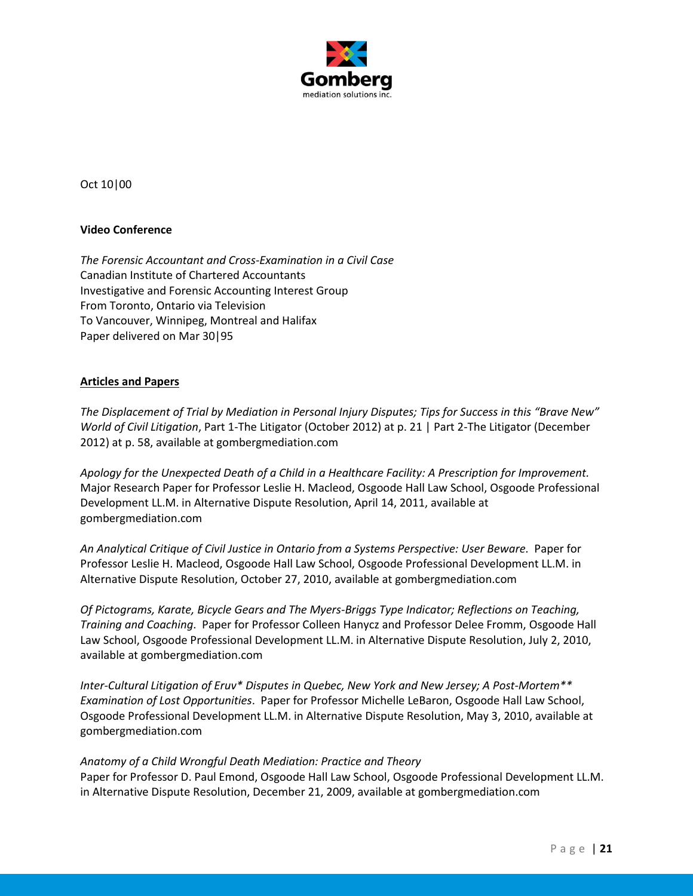

Oct 10|00

### **Video Conference**

*The Forensic Accountant and Cross-Examination in a Civil Case* Canadian Institute of Chartered Accountants Investigative and Forensic Accounting Interest Group From Toronto, Ontario via Television To Vancouver, Winnipeg, Montreal and Halifax Paper delivered on Mar 30|95

### **Articles and Papers**

*The Displacement of Trial by Mediation in Personal Injury Disputes; Tips for Success in this "Brave New" World of Civil Litigation*, Part 1-The Litigator (October 2012) at p. 21 | Part 2-The Litigator (December 2012) at p. 58, available at gombergmediation.com

*Apology for the Unexpected Death of a Child in a Healthcare Facility: A Prescription for Improvement.*  Major Research Paper for Professor Leslie H. Macleod, Osgoode Hall Law School, Osgoode Professional Development LL.M. in Alternative Dispute Resolution, April 14, 2011, available at gombergmediation.com

*An Analytical Critique of Civil Justice in Ontario from a Systems Perspective: User Beware.* Paper for Professor Leslie H. Macleod, Osgoode Hall Law School, Osgoode Professional Development LL.M. in Alternative Dispute Resolution, October 27, 2010, available at gombergmediation.com

*Of Pictograms, Karate, Bicycle Gears and The Myers-Briggs Type Indicator; Reflections on Teaching, Training and Coaching*. Paper for Professor Colleen Hanycz and Professor Delee Fromm, Osgoode Hall Law School, Osgoode Professional Development LL.M. in Alternative Dispute Resolution, July 2, 2010, available at gombergmediation.com

*Inter-Cultural Litigation of Eruv\* Disputes in Quebec, New York and New Jersey; A Post-Mortem\*\* Examination of Lost Opportunities*. Paper for Professor Michelle LeBaron, Osgoode Hall Law School, Osgoode Professional Development LL.M. in Alternative Dispute Resolution, May 3, 2010, available at gombergmediation.com

#### *Anatomy of a Child Wrongful Death Mediation: Practice and Theory*

Paper for Professor D. Paul Emond, Osgoode Hall Law School, Osgoode Professional Development LL.M. in Alternative Dispute Resolution, December 21, 2009, available at gombergmediation.com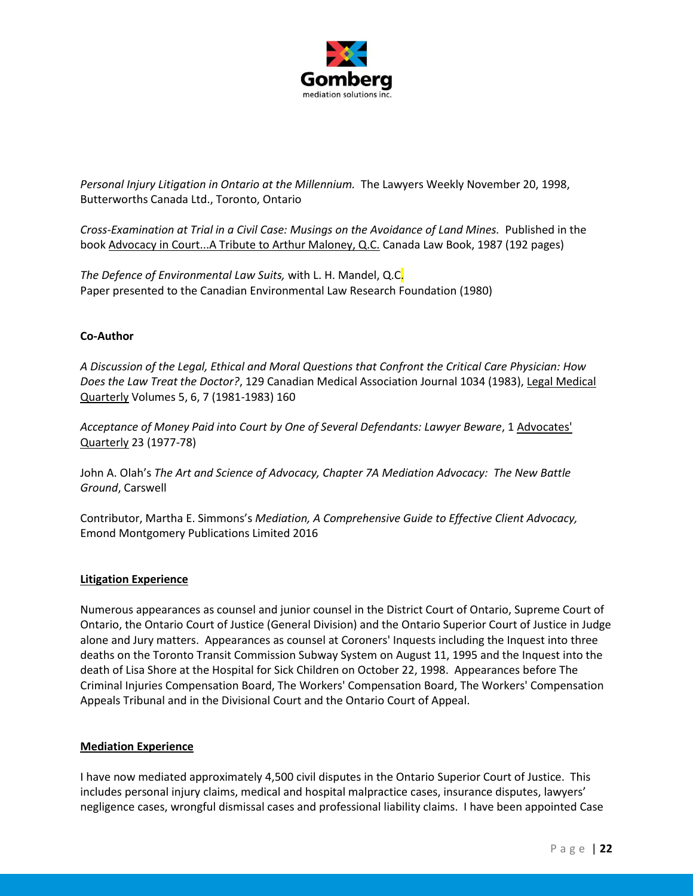

*Personal Injury Litigation in Ontario at the Millennium.* The Lawyers Weekly November 20, 1998, Butterworths Canada Ltd., Toronto, Ontario

*Cross-Examination at Trial in a Civil Case: Musings on the Avoidance of Land Mines.* Published in the book Advocacy in Court...A Tribute to Arthur Maloney, Q.C. Canada Law Book, 1987 (192 pages)

*The Defence of Environmental Law Suits,* with L. H. Mandel, Q.C. Paper presented to the Canadian Environmental Law Research Foundation (1980)

# **Co-Author**

*A Discussion of the Legal, Ethical and Moral Questions that Confront the Critical Care Physician: How Does the Law Treat the Doctor?*, 129 Canadian Medical Association Journal 1034 (1983), Legal Medical Quarterly Volumes 5, 6, 7 (1981-1983) 160

*Acceptance of Money Paid into Court by One of Several Defendants: Lawyer Beware*, 1 Advocates' Quarterly 23 (1977-78)

John A. Olah's *The Art and Science of Advocacy, Chapter 7A Mediation Advocacy: The New Battle Ground*, Carswell

Contributor, Martha E. Simmons's *Mediation, A Comprehensive Guide to Effective Client Advocacy,* Emond Montgomery Publications Limited 2016

#### **Litigation Experience**

Numerous appearances as counsel and junior counsel in the District Court of Ontario, Supreme Court of Ontario, the Ontario Court of Justice (General Division) and the Ontario Superior Court of Justice in Judge alone and Jury matters. Appearances as counsel at Coroners' Inquests including the Inquest into three deaths on the Toronto Transit Commission Subway System on August 11, 1995 and the Inquest into the death of Lisa Shore at the Hospital for Sick Children on October 22, 1998. Appearances before The Criminal Injuries Compensation Board, The Workers' Compensation Board, The Workers' Compensation Appeals Tribunal and in the Divisional Court and the Ontario Court of Appeal.

#### **Mediation Experience**

I have now mediated approximately 4,500 civil disputes in the Ontario Superior Court of Justice. This includes personal injury claims, medical and hospital malpractice cases, insurance disputes, lawyers' negligence cases, wrongful dismissal cases and professional liability claims. I have been appointed Case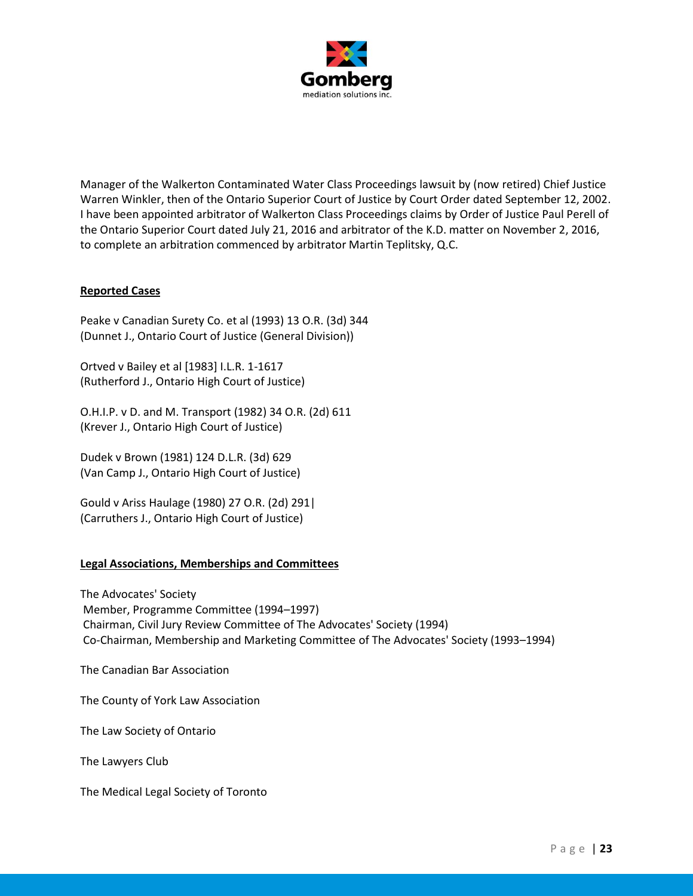

Manager of the Walkerton Contaminated Water Class Proceedings lawsuit by (now retired) Chief Justice Warren Winkler, then of the Ontario Superior Court of Justice by Court Order dated September 12, 2002. I have been appointed arbitrator of Walkerton Class Proceedings claims by Order of Justice Paul Perell of the Ontario Superior Court dated July 21, 2016 and arbitrator of the K.D. matter on November 2, 2016, to complete an arbitration commenced by arbitrator Martin Teplitsky, Q.C.

# **Reported Cases**

Peake v Canadian Surety Co. et al (1993) 13 O.R. (3d) 344 (Dunnet J., Ontario Court of Justice (General Division))

Ortved v Bailey et al [1983] I.L.R. 1-1617 (Rutherford J., Ontario High Court of Justice)

O.H.I.P. v D. and M. Transport (1982) 34 O.R. (2d) 611 (Krever J., Ontario High Court of Justice)

Dudek v Brown (1981) 124 D.L.R. (3d) 629 (Van Camp J., Ontario High Court of Justice)

Gould v Ariss Haulage (1980) 27 O.R. (2d) 291| (Carruthers J., Ontario High Court of Justice)

#### **Legal Associations, Memberships and Committees**

The Advocates' Society Member, Programme Committee (1994–1997) Chairman, Civil Jury Review Committee of The Advocates' Society (1994) Co-Chairman, Membership and Marketing Committee of The Advocates' Society (1993–1994)

The Canadian Bar Association

The County of York Law Association

The Law Society of Ontario

The Lawyers Club

The Medical Legal Society of Toronto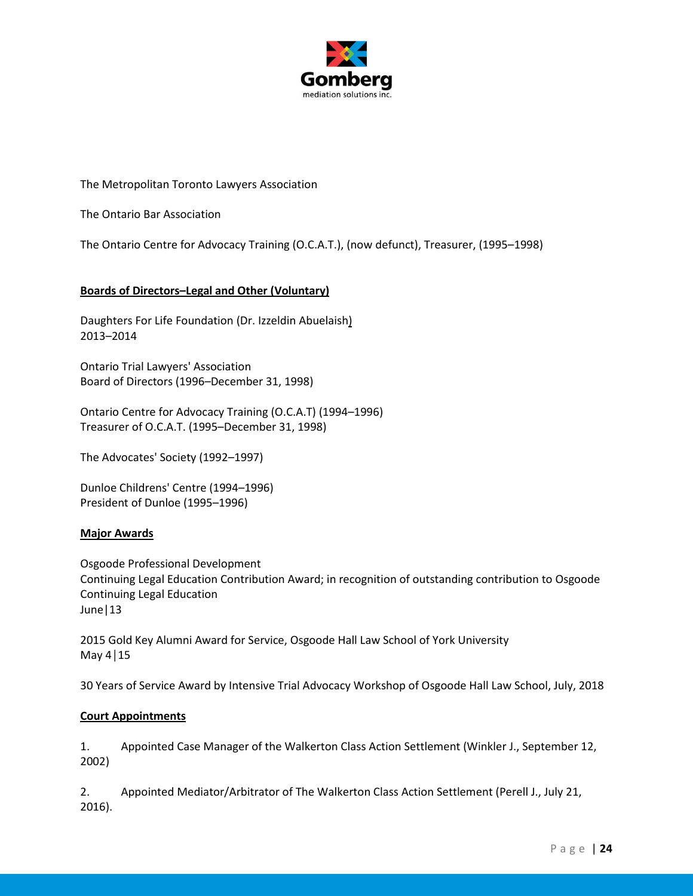

The Metropolitan Toronto Lawyers Association

The Ontario Bar Association

The Ontario Centre for Advocacy Training (O.C.A.T.), (now defunct), Treasurer, (1995–1998)

# **Boards of Directors–Legal and Other (Voluntary)**

Daughters For Life Foundation (Dr. Izzeldin Abuelaish) 2013–2014

Ontario Trial Lawyers' Association Board of Directors (1996–December 31, 1998)

Ontario Centre for Advocacy Training (O.C.A.T) (1994–1996) Treasurer of O.C.A.T. (1995–December 31, 1998)

The Advocates' Society (1992–1997)

Dunloe Childrens' Centre (1994–1996) President of Dunloe (1995–1996)

#### **Major Awards**

Osgoode Professional Development Continuing Legal Education Contribution Award; in recognition of outstanding contribution to Osgoode Continuing Legal Education June|13

2015 Gold Key Alumni Award for Service, Osgoode Hall Law School of York University May 4│15

30 Years of Service Award by Intensive Trial Advocacy Workshop of Osgoode Hall Law School, July, 2018

#### **Court Appointments**

1. Appointed Case Manager of the Walkerton Class Action Settlement (Winkler J., September 12, 2002)

2. Appointed Mediator/Arbitrator of The Walkerton Class Action Settlement (Perell J., July 21, 2016).